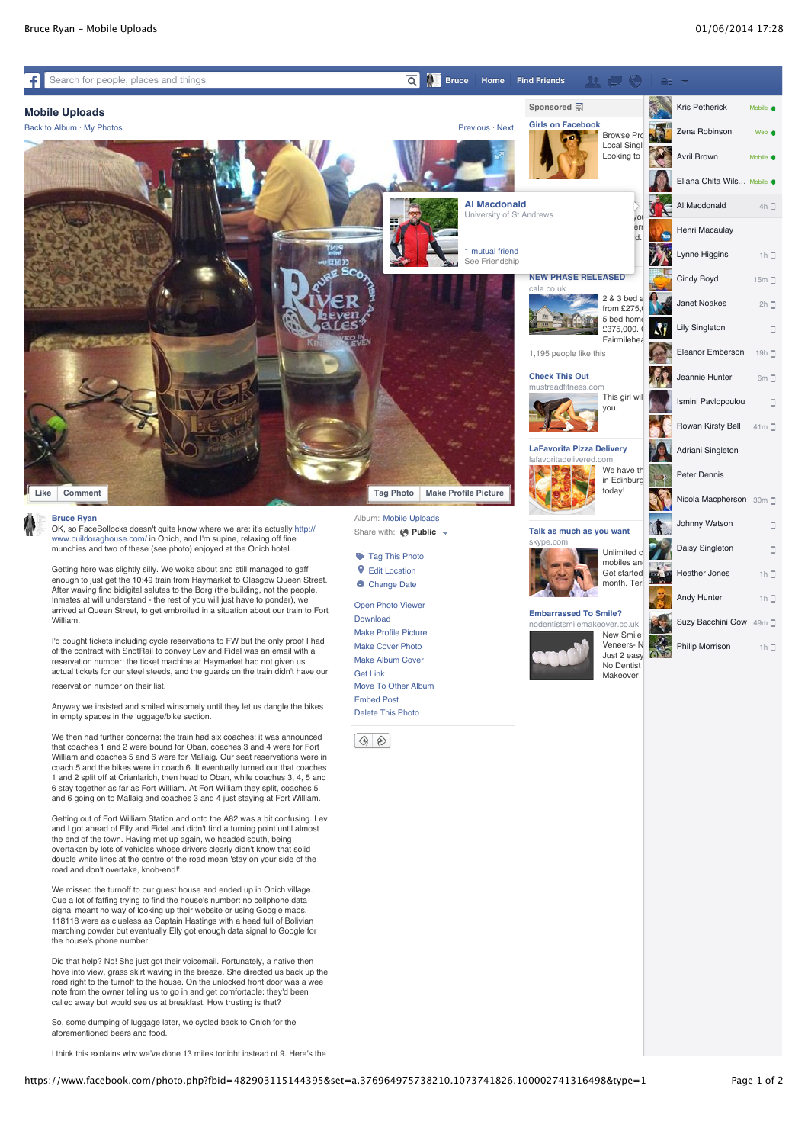